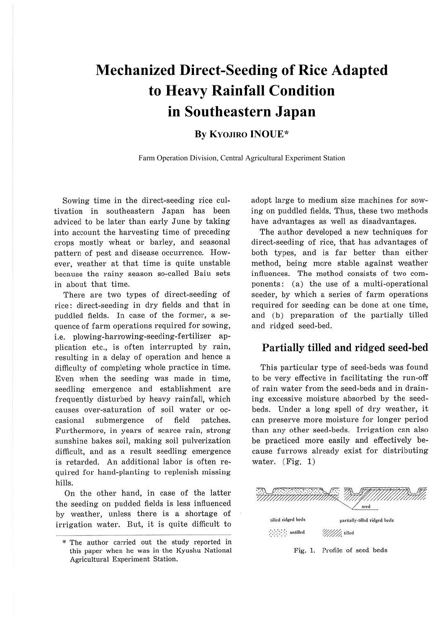# **Mechanized Direct-Seeding of Rice Adapted to Heavy Rainfall Condition in Southeastern Japan**

## **By KYOJIRO INOUE\***

Farm Operation Division, Central Agricultural Experiment Station

Sowing time in the direct-seeding rice cultivation in southeastern Japan has been adviced to be later than early June by taking into account the harvesting time of preceding crops mostly wheat or barley, and seasonal pattern of pest and disease occurrence. However, weather at that time is quite unstable because the rainy season so-called Baiu sets in about that time.

There are two types of direct-seeding of rice: direct-seeding in dry fields and that in puddled fields. In case of the former, a sequence of farm operations required for sowing, i.e. plowing-harrowing-seeding-fertilizer application etc., is often interrupted by rain, resulting in a delay of operation and hence a difficulty of completing whole practice in time. Even when the seeding was made in time, seedling emergence and establishment are frequently disturbed by heavy rainfall, which causes over-saturation of soil water or occasional submergence of field patches. Furthermore, in years of scarce rain, strong sunshine bakes soil, making soil pulverization difficult, and as a result seedling emergence is retarded. An additional labor is often required for hand-planting to replenish missing hills.

On the other hand, in case of the latter the seeding on pudded fields is less influenced by weather, unless there is a shortage of irrigation water. But, it is quite difficult to adopt large to medium size machines for sowing on puddled fields. Thus, these two methods have advantages as well as disadvantages.

The author developed a new techniques for direct-seeding of rice, that has advantages of both types, and is far better than either method, being more stable against weather influences. The method consists of two components: (a) the use of a multi-operational seeder, by which a series of farm operations required for seeding can be done at one time, and (b) preparation of the partially tilled and ridged seed-bed.

### **Partially tilled and ridged seed-bed**

This particular type of seed-beds was found to be very effective in facilitating the run-off of rain water from the seed-beds and in draining excessive moisture absorbed by the seedbeds. Under a long spell of dry weather, it can preserve more moisture for longer period than any other seed-beds. Irrigation can also be practiced more easily and effectively because furrows already exist for distributing water. (Fig. 1)



Fig. 1. Profile of seed beds

<sup>\*</sup> The author carried out the study reported in this paper when he was in the Kyushu National Agricultural Experiment Station.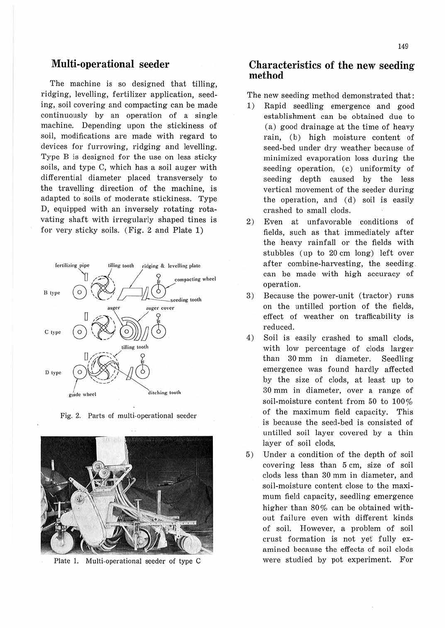### **Multi-operational seeder**

The machine is so designed that tilling, ridging, levelling, fertilizer application, seeding, soil covering and compacting can be made continuously by an operation of a single machine. Depending upon the stickiness of soil, modifications are made with regard to devices for furrowing, ridging and levelling. Type B is designed for the use on less sticky soils, and type C, which has a soil auger with differential diameter placed transversely to the travelling direction of the machine, is adapted to soils of moderate stickiness. Type D, equipped with an inversely rotating rotavating shaft with irregularly shaped tines is for very sticky soils. (Fig. 2 and Plate 1)



Fig. 2. Parts of multi.operational seeder



Plate 1. Multi.operational seeder of type C

#### **Characteristics of the new seeding method**

The new seeding method demonstrated that :

- 1) Rapid seedling emergence and good establishment can be obtained due to (a) good drainage at the time of heavy rain, (b) high moisture content of seed-bed under dry weather because of minimized evaporation loss during the seeding operation, (c) uniformity of seeding depth caused by the less vertical movement of the seeder during the operation, and (d) soil is easily crashed to small clods.
- 2) Even at unfavorable conditions of fields, such as that immediately after the heavy rainfall or the fields with stubbles (up to 20 cm long) left over after combine-harvesting, the seeding. can be made with high accuracy of operation.
- 3) Because the power-unit (tractor) runs on the untilled portion of the fields, effect of weather on trafficability is reduced.
- 4) Soil is easily crashed to small clods, with low percentage of clods larger than 30 mm in diameter. Seedling emergence was found hardly affected by the size of clods, at least up to 30 mm in diameter, over a range of soil-moisture content from 50 to 100% of the maximum field capacity. This is because the seed-bed is consisted of untilled soil layer covered by a thin layer of soil clods.
- 5) Under a condition of the depth of soil covering less than 5 cm, size of soil clods less than 30 mm in diameter, and soil-moisture content close to the maximum field capacity, seedling emergence higher than 80% can be obtained without failure even with different kinds of soil. However, a problem of soil crust formation is not yet fully examined because the effects of soil clods were studied by pot experiment. For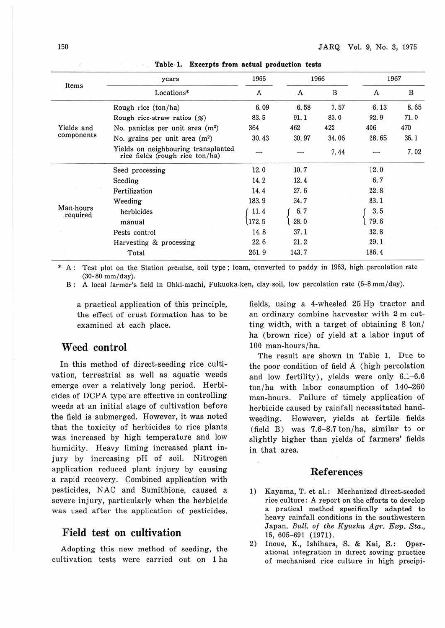| Items                    | years<br>Locations*                                                    | 1965<br>A | 1966  |       | 1967  |      |
|--------------------------|------------------------------------------------------------------------|-----------|-------|-------|-------|------|
|                          |                                                                        |           | A     | B     | A     | B    |
| Yields and<br>components | Rough rice (ton/ha)                                                    | 6.09      | 6.58  | 7.57  | 6.13  | 8.65 |
|                          | Rough rice-straw ratios $(\%)$                                         | 83.5      | 91.1  | 83.0  | 92.9  | 71.0 |
|                          | No. panicles per unit area $(m2)$                                      | 364       | 462   | 422   | 406   | 470  |
|                          | No. grains per unit area $(m2)$                                        | 30.43     | 30.97 | 34.06 | 28.65 | 36.1 |
|                          | Yields on neighbouring transplanted<br>rice fields (rough rice ton/ha) |           |       | 7.44  |       | 7.02 |
| Man-hours<br>required    | Seed processing                                                        | 12.0      | 10.7  |       | 12.0  |      |
|                          | Seeding                                                                | 14.2      | 12.4  |       | 6.7   |      |
|                          | Fertilization                                                          | 14.4      | 27.6  |       | 22.8  |      |
|                          | Weeding                                                                | 183.9     | 34.7  |       | 83.1  |      |
|                          | herbicides                                                             | 11.4      | 6, 7  |       | 3.5   |      |
|                          | manual                                                                 | 172.5     | 28.0  |       | 79.6  |      |
|                          | Pests control                                                          | 14.8      | 37.1  |       | 32.8  |      |
|                          | Harvesting & processing                                                | 22.6      | 21.2  |       | 29.1  |      |
|                          | Total                                                                  | 261.9     | 143.7 |       | 186.4 |      |

**Table· 1, Excerpts from actual production tests**  1,000

\* A : Test plot on the Station premise, soil type; loam, converted to paddy in 1963, high percolation rate (30-80 mm/day).

B: A local farmer's field in Ohki-machi, Fukuoka-ken, clay-soil, low percolation rate (6-8 mm/day).

a practical application of this principle, the effect of crust formation has to be examined at each place.

#### **Weed control**

In this method of direct-seeding rice cultivation, terrestrial as well as aquatic weeds emerge over a relatively long period. Herbicides of DCPA type are effective in controlling weeds at an initial stage of cultivation before the field is submerged. However, it was noted that the toxicity of herbicides to rice plants was increased by high temperature and low humidity. Heavy liming increased plant injury by increasing pH of soil. Nitrogen application reduced plant injury by causing a rapid recovery. Combined application with pesticides, N AC and Sumithione, caused a severe injury, particularly when the herbicide was used after the application of pesticides.

#### **Field test on cultivation**

Adopting this new method of seeding, the cultivation tests were carried out on 1 ha fields, using a 4-wheeled 25 Hp tractor and an ordinary combine harvester with 2 m cutting width, with a target of obtaining 8 ton/ ha (brown rice) of yield at a labor input of 100 man-hours/ha.

The result are shown in Table 1. Due to the poor condition of field A (high percolation and low fertility), yields were only 6.1-6.6 ton/ha with labor consumption of 140-260 man-hours. Failure of timely application of herbicide caused by rainfall necessitated handweeding. However, yields at fertile fields  $(field B)$  was 7.6-8.7 ton/ha, similar to or slightly higher than yields of farmers' fields in that area.

#### **References**

- 1) Kayama, T. et al.: Mechanized direct-seeded rice culture: A report on the efforts to develop a pratical method specifically adapted to heavy rainfall conditions in the southwestern Japan. *Bull. of the Kyushu Agr. Exp. Sta.*, 15, 605-691 (1971).
- 2) Inoue, K., Ishihara, S. & Kai, S.: Operational integration in direct sowing practice of mechanised rice culture in high precipi-